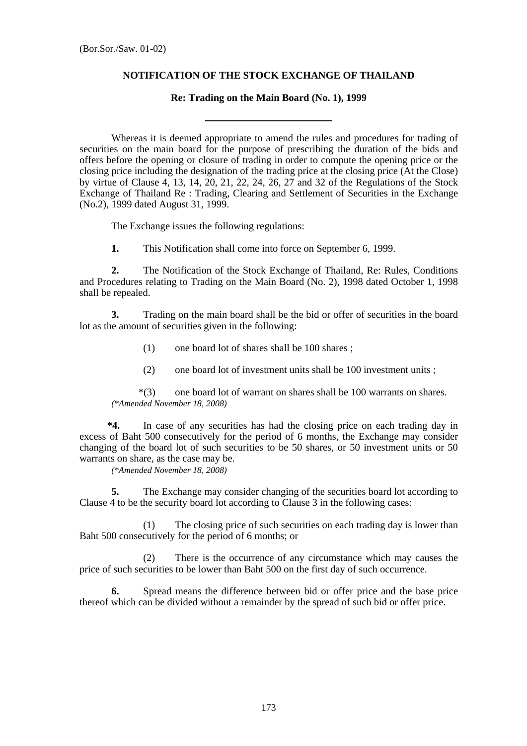## **NOTIFICATION OF THE STOCK EXCHANGE OF THAILAND**

## **Re: Trading on the Main Board (No. 1), 1999**

 Whereas it is deemed appropriate to amend the rules and procedures for trading of securities on the main board for the purpose of prescribing the duration of the bids and offers before the opening or closure of trading in order to compute the opening price or the closing price including the designation of the trading price at the closing price (At the Close) by virtue of Clause 4, 13, 14, 20, 21, 22, 24, 26, 27 and 32 of the Regulations of the Stock Exchange of Thailand Re : Trading, Clearing and Settlement of Securities in the Exchange (No.2), 1999 dated August 31, 1999.

The Exchange issues the following regulations:

**1.** This Notification shall come into force on September 6, 1999.

 **2.** The Notification of the Stock Exchange of Thailand, Re: Rules, Conditions and Procedures relating to Trading on the Main Board (No. 2), 1998 dated October 1, 1998 shall be repealed.

 **3.** Trading on the main board shall be the bid or offer of securities in the board lot as the amount of securities given in the following:

- (1) one board lot of shares shall be 100 shares ;
- (2) one board lot of investment units shall be 100 investment units ;

 \*(3) one board lot of warrant on shares shall be 100 warrants on shares. *(\*Amended November 18, 2008)* 

 **\*4.** In case of any securities has had the closing price on each trading day in excess of Baht 500 consecutively for the period of 6 months, the Exchange may consider changing of the board lot of such securities to be 50 shares, or 50 investment units or 50 warrants on share, as the case may be.

*(\*Amended November 18, 2008)* 

 **5.** The Exchange may consider changing of the securities board lot according to Clause 4 to be the security board lot according to Clause 3 in the following cases:

 (1) The closing price of such securities on each trading day is lower than Baht 500 consecutively for the period of 6 months; or

 (2) There is the occurrence of any circumstance which may causes the price of such securities to be lower than Baht 500 on the first day of such occurrence.

 **6.** Spread means the difference between bid or offer price and the base price thereof which can be divided without a remainder by the spread of such bid or offer price.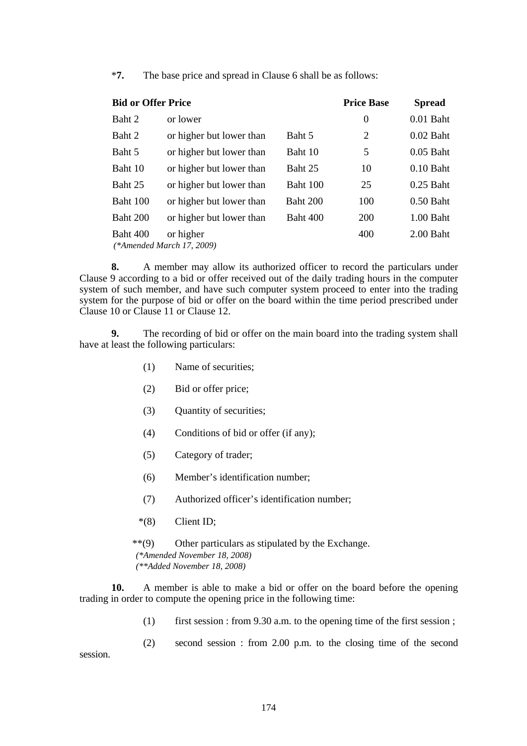\***7.** The base price and spread in Clause 6 shall be as follows:

| <b>Bid or Offer Price</b> |                                        |          | <b>Price Base</b> | <b>Spread</b> |
|---------------------------|----------------------------------------|----------|-------------------|---------------|
| Baht 2                    | or lower                               |          | $\boldsymbol{0}$  | $0.01$ Baht   |
| Baht 2                    | or higher but lower than               | Baht 5   | 2                 | $0.02$ Baht   |
| Baht 5                    | or higher but lower than               | Baht 10  | 5                 | $0.05$ Baht   |
| Baht 10                   | or higher but lower than               | Baht 25  | 10                | $0.10$ Baht   |
| Baht 25                   | or higher but lower than               | Baht 100 | 25                | $0.25$ Baht   |
| Baht 100                  | or higher but lower than               | Baht 200 | 100               | $0.50$ Baht   |
| Baht 200                  | or higher but lower than               | Baht 400 | 200               | $1.00$ Baht   |
| Baht 400                  | or higher<br>(*Amended March 17, 2009) |          | 400               | $2.00$ Baht   |

 **8.** A member may allow its authorized officer to record the particulars under Clause 9 according to a bid or offer received out of the daily trading hours in the computer system of such member, and have such computer system proceed to enter into the trading system for the purpose of bid or offer on the board within the time period prescribed under Clause 10 or Clause 11 or Clause 12.

 **9.** The recording of bid or offer on the main board into the trading system shall have at least the following particulars:

- (1) Name of securities;
- (2) Bid or offer price;
- (3) Quantity of securities;
- (4) Conditions of bid or offer (if any);
- (5) Category of trader;
- (6) Member's identification number;
- (7) Authorized officer's identification number;
- \*(8) Client ID;

 \*\*(9) Other particulars as stipulated by the Exchange. *(\*Amended November 18, 2008) (\*\*Added November 18, 2008)* 

 **10.** A member is able to make a bid or offer on the board before the opening trading in order to compute the opening price in the following time:

(1) first session : from 9.30 a.m. to the opening time of the first session ;

(2) second session : from 2.00 p.m. to the closing time of the second

session.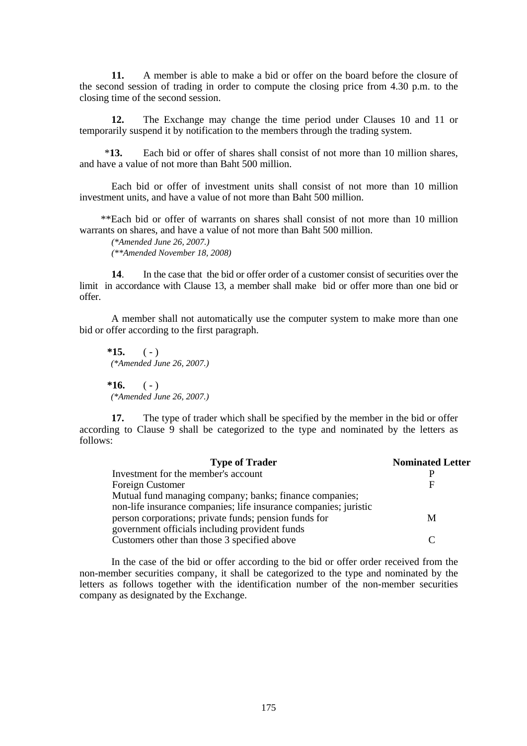**11.** A member is able to make a bid or offer on the board before the closure of the second session of trading in order to compute the closing price from 4.30 p.m. to the closing time of the second session.

**12.** The Exchange may change the time period under Clauses 10 and 11 or temporarily suspend it by notification to the members through the trading system.

\***13.** Each bid or offer of shares shall consist of not more than 10 million shares, and have a value of not more than Baht 500 million.

Each bid or offer of investment units shall consist of not more than 10 million investment units, and have a value of not more than Baht 500 million.

 \*\*Each bid or offer of warrants on shares shall consist of not more than 10 million warrants on shares, and have a value of not more than Baht 500 million.

*(\*Amended June 26, 2007.) (\*\*Amended November 18, 2008)* 

 **14**. In the case that the bid or offer order of a customer consist of securities over the limit in accordance with Clause 13, a member shall make bid or offer more than one bid or offer.

 A member shall not automatically use the computer system to make more than one bid or offer according to the first paragraph.

 $*15.$  (-) *(\*Amended June 26, 2007.)*   $*16.$  (-) *(\*Amended June 26, 2007.)* 

 **17.** The type of trader which shall be specified by the member in the bid or offer according to Clause 9 shall be categorized to the type and nominated by the letters as follows:

| <b>Type of Trader</b>                                            | <b>Nominated Letter</b> |
|------------------------------------------------------------------|-------------------------|
| Investment for the member's account                              |                         |
| Foreign Customer                                                 | F                       |
| Mutual fund managing company; banks; finance companies;          |                         |
| non-life insurance companies; life insurance companies; juristic |                         |
| person corporations; private funds; pension funds for            | М                       |
| government officials including provident funds                   |                         |
| Customers other than those 3 specified above                     |                         |

In the case of the bid or offer according to the bid or offer order received from the non-member securities company, it shall be categorized to the type and nominated by the letters as follows together with the identification number of the non-member securities company as designated by the Exchange.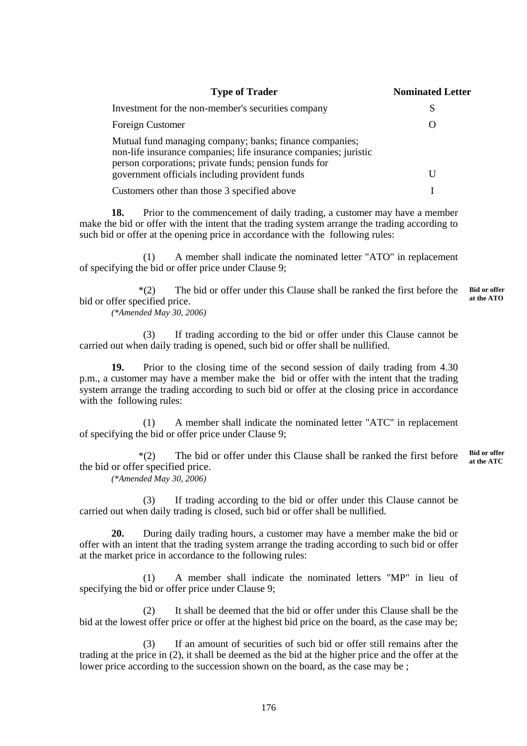| <b>Type of Trader</b>                                                                                                                                                                | <b>Nominated Letter</b> |
|--------------------------------------------------------------------------------------------------------------------------------------------------------------------------------------|-------------------------|
| Investment for the non-member's securities company                                                                                                                                   | S                       |
| Foreign Customer                                                                                                                                                                     | ( )                     |
| Mutual fund managing company; banks; finance companies;<br>non-life insurance companies; life insurance companies; juristic<br>person corporations; private funds; pension funds for |                         |
| government officials including provident funds                                                                                                                                       | U                       |
| Customers other than those 3 specified above                                                                                                                                         |                         |

 **18.** Prior to the commencement of daily trading, a customer may have a member make the bid or offer with the intent that the trading system arrange the trading according to such bid or offer at the opening price in accordance with the following rules:

 (1) A member shall indicate the nominated letter "ATO" in replacement of specifying the bid or offer price under Clause 9;

 \*(2) The bid or offer under this Clause shall be ranked the first before the bid or offer specified price. **Bid or offer at the ATO** 

*(\*Amended May 30, 2006)* 

 (3) If trading according to the bid or offer under this Clause cannot be carried out when daily trading is opened, such bid or offer shall be nullified.

 **19.** Prior to the closing time of the second session of daily trading from 4.30 p.m., a customer may have a member make the bid or offer with the intent that the trading system arrange the trading according to such bid or offer at the closing price in accordance with the following rules:

 (1) A member shall indicate the nominated letter "ATC" in replacement of specifying the bid or offer price under Clause 9;

 \*(2) The bid or offer under this Clause shall be ranked the first before the bid or offer specified price. **Bid or offer at the ATC** 

*(\*Amended May 30, 2006)* 

 (3) If trading according to the bid or offer under this Clause cannot be carried out when daily trading is closed, such bid or offer shall be nullified.

 **20.** During daily trading hours, a customer may have a member make the bid or offer with an intent that the trading system arrange the trading according to such bid or offer at the market price in accordance to the following rules:

 (1) A member shall indicate the nominated letters "MP" in lieu of specifying the bid or offer price under Clause 9;

 (2) It shall be deemed that the bid or offer under this Clause shall be the bid at the lowest offer price or offer at the highest bid price on the board, as the case may be;

 (3) If an amount of securities of such bid or offer still remains after the trading at the price in (2), it shall be deemed as the bid at the higher price and the offer at the lower price according to the succession shown on the board, as the case may be;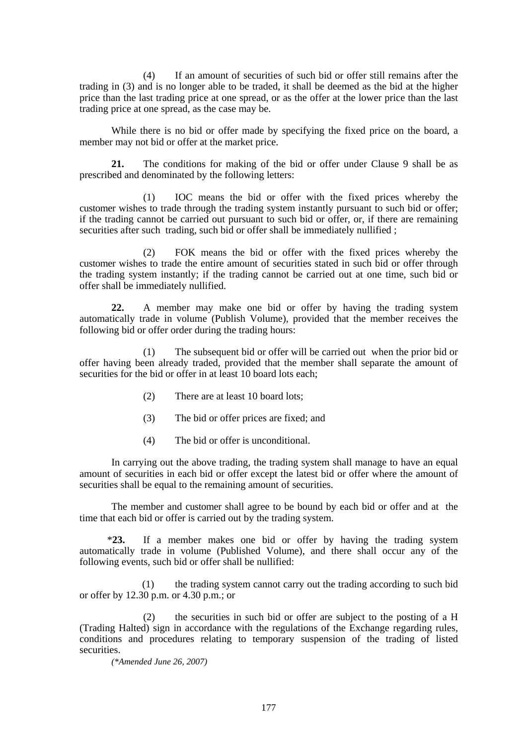(4) If an amount of securities of such bid or offer still remains after the trading in (3) and is no longer able to be traded, it shall be deemed as the bid at the higher price than the last trading price at one spread, or as the offer at the lower price than the last trading price at one spread, as the case may be.

 While there is no bid or offer made by specifying the fixed price on the board, a member may not bid or offer at the market price.

 **21.** The conditions for making of the bid or offer under Clause 9 shall be as prescribed and denominated by the following letters:

 (1) IOC means the bid or offer with the fixed prices whereby the customer wishes to trade through the trading system instantly pursuant to such bid or offer; if the trading cannot be carried out pursuant to such bid or offer, or, if there are remaining securities after such trading, such bid or offer shall be immediately nullified ;

 (2) FOK means the bid or offer with the fixed prices whereby the customer wishes to trade the entire amount of securities stated in such bid or offer through the trading system instantly; if the trading cannot be carried out at one time, such bid or offer shall be immediately nullified.

 **22.** A member may make one bid or offer by having the trading system automatically trade in volume (Publish Volume), provided that the member receives the following bid or offer order during the trading hours:

 (1) The subsequent bid or offer will be carried out when the prior bid or offer having been already traded, provided that the member shall separate the amount of securities for the bid or offer in at least 10 board lots each:

- (2) There are at least 10 board lots;
- (3) The bid or offer prices are fixed; and
- (4) The bid or offer is unconditional.

 In carrying out the above trading, the trading system shall manage to have an equal amount of securities in each bid or offer except the latest bid or offer where the amount of securities shall be equal to the remaining amount of securities.

 The member and customer shall agree to be bound by each bid or offer and at the time that each bid or offer is carried out by the trading system.

 \***23.** If a member makes one bid or offer by having the trading system automatically trade in volume (Published Volume), and there shall occur any of the following events, such bid or offer shall be nullified:

(1) the trading system cannot carry out the trading according to such bid or offer by 12.30 p.m. or 4.30 p.m.; or

(2) the securities in such bid or offer are subject to the posting of a H (Trading Halted) sign in accordance with the regulations of the Exchange regarding rules, conditions and procedures relating to temporary suspension of the trading of listed securities.

*(\*Amended June 26, 2007)*